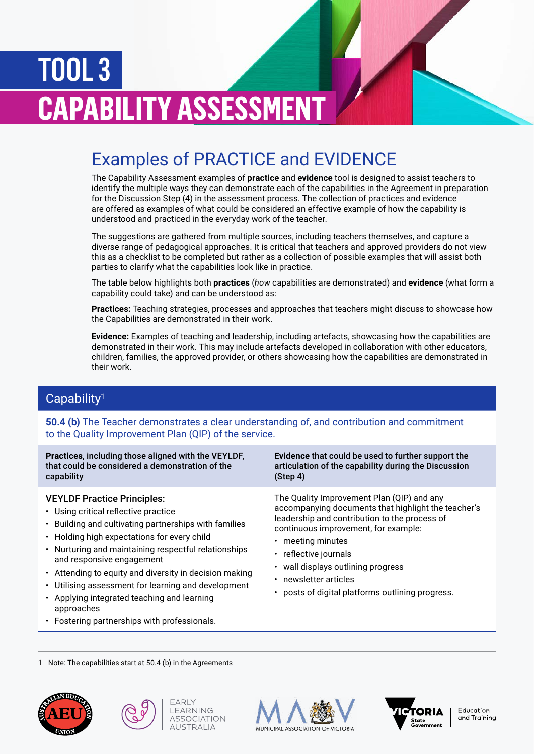# TOOL 3 **CAPABILITY ASSESSMENT**

## Examples of PRACTICE and EVIDENCE

The Capability Assessment examples of **practice** and **evidence** tool is designed to assist teachers to identify the multiple ways they can demonstrate each of the capabilities in the Agreement in preparation for the Discussion Step (4) in the assessment process. The collection of practices and evidence are offered as examples of what could be considered an effective example of how the capability is understood and practiced in the everyday work of the teacher.

The suggestions are gathered from multiple sources, including teachers themselves, and capture a diverse range of pedagogical approaches. It is critical that teachers and approved providers do not view this as a checklist to be completed but rather as a collection of possible examples that will assist both parties to clarify what the capabilities look like in practice.

The table below highlights both **practices** (*how* capabilities are demonstrated) and **evidence** (what form a capability could take) and can be understood as:

**Practices:** Teaching strategies, processes and approaches that teachers might discuss to showcase how the Capabilities are demonstrated in their work.

**Evidence:** Examples of teaching and leadership, including artefacts, showcasing how the capabilities are demonstrated in their work. This may include artefacts developed in collaboration with other educators, children, families, the approved provider, or others showcasing how the capabilities are demonstrated in their work.

## Capability1

**50.4 (b)** The Teacher demonstrates a clear understanding of, and contribution and commitment to the Quality Improvement Plan (QIP) of the service.

**Practices**, including those aligned with the VEYLDF, that could be considered a demonstration of the capability

#### VEYLDF Practice Principles:

- Using critical reflective practice
- Building and cultivating partnerships with families
- Holding high expectations for every child
- Nurturing and maintaining respectful relationships and responsive engagement
- Attending to equity and diversity in decision making
- Utilising assessment for learning and development
- Applying integrated teaching and learning approaches
- Fostering partnerships with professionals.

**Evidence** that could be used to further support the articulation of the capability during the Discussion (Step 4)

The Quality Improvement Plan (QIP) and any accompanying documents that highlight the teacher's leadership and contribution to the process of continuous improvement, for example:

- meeting minutes
- reflective journals
- wall displays outlining progress
- newsletter articles
- posts of digital platforms outlining progress.

1 Note: The capabilities start at 50.4 (b) in the Agreements









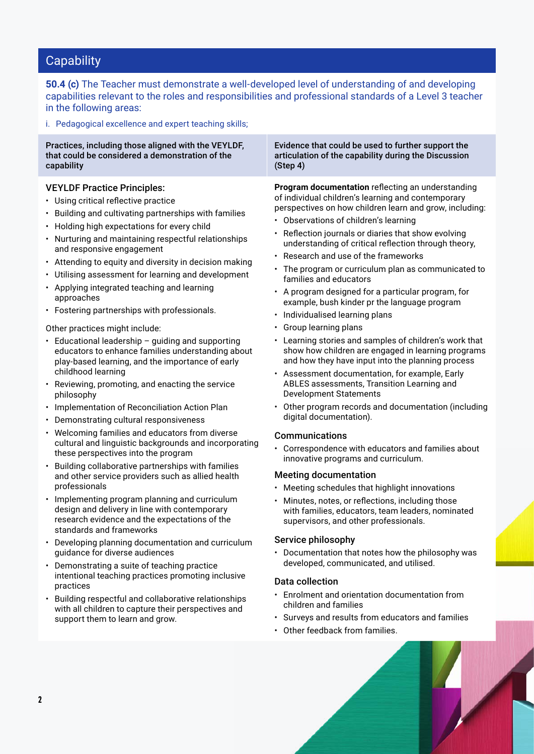**50.4 (c)** The Teacher must demonstrate a well-developed level of understanding of and developing capabilities relevant to the roles and responsibilities and professional standards of a Level 3 teacher in the following areas:

i. Pedagogical excellence and expert teaching skills;

Practices, including those aligned with the VEYLDF, that could be considered a demonstration of the capability Evidence that could be used to further support the articulation of the capability during the Discussion (Step 4) VEYLDF Practice Principles: • Using critical reflective practice • Building and cultivating partnerships with families • Holding high expectations for every child • Nurturing and maintaining respectful relationships and responsive engagement • Attending to equity and diversity in decision making • Utilising assessment for learning and development **Program documentation** reflecting an understanding of individual children's learning and contemporary perspectives on how children learn and grow, including: • Observations of children's learning • Reflection journals or diaries that show evolving understanding of critical reflection through theory, • Research and use of the frameworks • The program or curriculum plan as communicated to families and educators

- Applying integrated teaching and learning approaches
- Fostering partnerships with professionals.

Other practices might include:

- Educational leadership  $-$  guiding and supporting educators to enhance families understanding about play-based learning, and the importance of early childhood learning
- Reviewing, promoting, and enacting the service philosophy
- Implementation of Reconciliation Action Plan
- Demonstrating cultural responsiveness
- Welcoming families and educators from diverse cultural and linguistic backgrounds and incorporating these perspectives into the program
- Building collaborative partnerships with families and other service providers such as allied health professionals
- Implementing program planning and curriculum design and delivery in line with contemporary research evidence and the expectations of the standards and frameworks
- Developing planning documentation and curriculum guidance for diverse audiences
- Demonstrating a suite of teaching practice intentional teaching practices promoting inclusive practices
- Building respectful and collaborative relationships with all children to capture their perspectives and support them to learn and grow.

• Other program records and documentation (including digital documentation).

Development Statements

• Individualised learning plans

• Group learning plans

#### Communications

• Correspondence with educators and families about innovative programs and curriculum.

• A program designed for a particular program, for example, bush kinder pr the language program

• Learning stories and samples of children's work that show how children are engaged in learning programs and how they have input into the planning process • Assessment documentation, for example, Early ABLES assessments, Transition Learning and

#### Meeting documentation

- Meeting schedules that highlight innovations
- Minutes, notes, or reflections, including those with families, educators, team leaders, nominated supervisors, and other professionals.

#### Service philosophy

• Documentation that notes how the philosophy was developed, communicated, and utilised.

#### Data collection

- Enrolment and orientation documentation from children and families
- Surveys and results from educators and families
- Other feedback from families.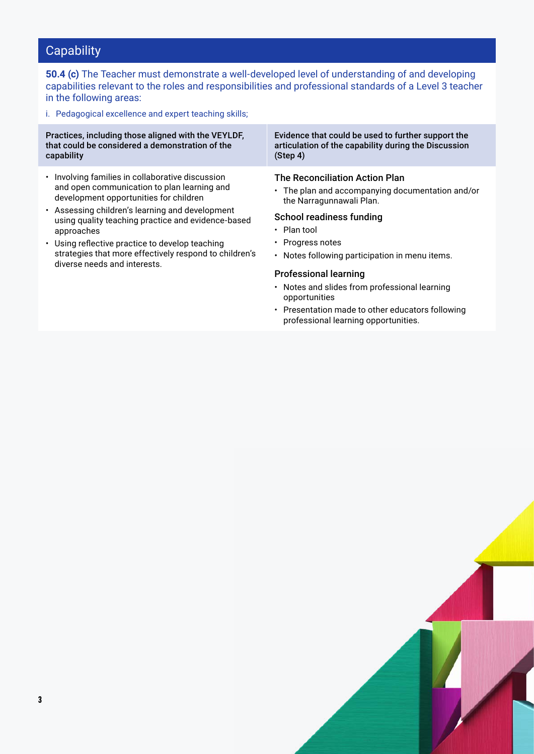**50.4 (c)** The Teacher must demonstrate a well-developed level of understanding of and developing capabilities relevant to the roles and responsibilities and professional standards of a Level 3 teacher in the following areas:

i. Pedagogical excellence and expert teaching skills;

Practices, including those aligned with the VEYLDF, that could be considered a demonstration of the capability Evidence that could be used to further support the articulation of the capability during the Discussion (Step 4) • Involving families in collaborative discussion and open communication to plan learning and development opportunities for children • Assessing children's learning and development using quality teaching practice and evidence-based approaches • Using reflective practice to develop teaching strategies that more effectively respond to children's diverse needs and interests. The Reconciliation Action Plan • The plan and accompanying documentation and/or the Narragunnawali Plan. School readiness funding • Plan tool • Progress notes • Notes following participation in menu items. Professional learning • Notes and slides from professional learning opportunities

• Presentation made to other educators following professional learning opportunities.

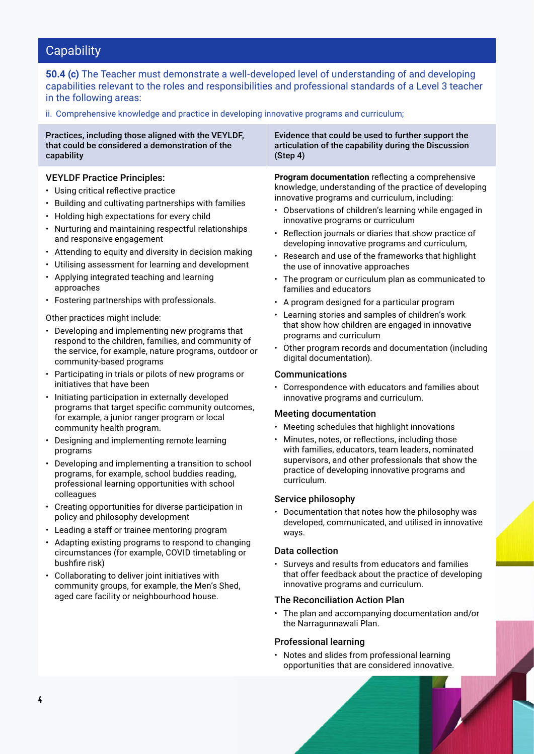**50.4 (c)** The Teacher must demonstrate a well-developed level of understanding of and developing capabilities relevant to the roles and responsibilities and professional standards of a Level 3 teacher in the following areas:

ii. Comprehensive knowledge and practice in developing innovative programs and curriculum;

| Practices, including those aligned with the VEYLDF,<br>that could be considered a demonstration of the<br>capability                                                                                                                                                                                                                                                                                                                                                                                                                                                                                                                                                                                                                                                                                                                                                                                                                                                                                                                                                                                                                                                                                                                                                                                                                                                                                                                                                                                                                                                                                                                                                                         | Evidence that could be used to further support the<br>articulation of the capability during the Discussion<br>(Step 4)                                                                                                                                                                                                                                                                                                                                                                                                                                                                                                                                                                                                                                                                                                                                                                                                                                                                                                                                                                                                                                                                                                                                                                                                                                                                                                                                                                                                                                                                                                                                                                         |
|----------------------------------------------------------------------------------------------------------------------------------------------------------------------------------------------------------------------------------------------------------------------------------------------------------------------------------------------------------------------------------------------------------------------------------------------------------------------------------------------------------------------------------------------------------------------------------------------------------------------------------------------------------------------------------------------------------------------------------------------------------------------------------------------------------------------------------------------------------------------------------------------------------------------------------------------------------------------------------------------------------------------------------------------------------------------------------------------------------------------------------------------------------------------------------------------------------------------------------------------------------------------------------------------------------------------------------------------------------------------------------------------------------------------------------------------------------------------------------------------------------------------------------------------------------------------------------------------------------------------------------------------------------------------------------------------|------------------------------------------------------------------------------------------------------------------------------------------------------------------------------------------------------------------------------------------------------------------------------------------------------------------------------------------------------------------------------------------------------------------------------------------------------------------------------------------------------------------------------------------------------------------------------------------------------------------------------------------------------------------------------------------------------------------------------------------------------------------------------------------------------------------------------------------------------------------------------------------------------------------------------------------------------------------------------------------------------------------------------------------------------------------------------------------------------------------------------------------------------------------------------------------------------------------------------------------------------------------------------------------------------------------------------------------------------------------------------------------------------------------------------------------------------------------------------------------------------------------------------------------------------------------------------------------------------------------------------------------------------------------------------------------------|
| <b>VEYLDF Practice Principles:</b><br>• Using critical reflective practice<br>• Building and cultivating partnerships with families<br>• Holding high expectations for every child<br>• Nurturing and maintaining respectful relationships<br>and responsive engagement<br>• Attending to equity and diversity in decision making<br>• Utilising assessment for learning and development<br>• Applying integrated teaching and learning<br>approaches<br>• Fostering partnerships with professionals.<br>Other practices might include:<br>• Developing and implementing new programs that<br>respond to the children, families, and community of<br>the service, for example, nature programs, outdoor or<br>community-based programs<br>• Participating in trials or pilots of new programs or<br>initiatives that have been<br>Initiating participation in externally developed<br>programs that target specific community outcomes,<br>for example, a junior ranger program or local<br>community health program.<br>• Designing and implementing remote learning<br>programs<br>Developing and implementing a transition to school<br>programs, for example, school buddies reading,<br>professional learning opportunities with school<br>colleagues<br>• Creating opportunities for diverse participation in<br>policy and philosophy development<br>• Leading a staff or trainee mentoring program<br>• Adapting existing programs to respond to changing<br>circumstances (for example, COVID timetabling or<br>bushfire risk)<br>• Collaborating to deliver joint initiatives with<br>community groups, for example, the Men's Shed,<br>aged care facility or neighbourhood house. | Program documentation reflecting a comprehensive<br>knowledge, understanding of the practice of developing<br>innovative programs and curriculum, including:<br>• Observations of children's learning while engaged in<br>innovative programs or curriculum<br>Reflection journals or diaries that show practice of<br>٠<br>developing innovative programs and curriculum,<br>• Research and use of the frameworks that highlight<br>the use of innovative approaches<br>• The program or curriculum plan as communicated to<br>families and educators<br>• A program designed for a particular program<br>• Learning stories and samples of children's work<br>that show how children are engaged in innovative<br>programs and curriculum<br>• Other program records and documentation (including<br>digital documentation).<br><b>Communications</b><br>• Correspondence with educators and families about<br>innovative programs and curriculum.<br><b>Meeting documentation</b><br>Meeting schedules that highlight innovations<br>٠<br>Minutes, notes, or reflections, including those<br>with families, educators, team leaders, nominated<br>supervisors, and other professionals that show the<br>practice of developing innovative programs and<br>curriculum.<br>Service philosophy<br>• Documentation that notes how the philosophy was<br>developed, communicated, and utilised in innovative<br>ways.<br><b>Data collection</b><br>• Surveys and results from educators and families<br>that offer feedback about the practice of developing<br>innovative programs and curriculum.<br><b>The Reconciliation Action Plan</b><br>• The plan and accompanying documentation and/or |
|                                                                                                                                                                                                                                                                                                                                                                                                                                                                                                                                                                                                                                                                                                                                                                                                                                                                                                                                                                                                                                                                                                                                                                                                                                                                                                                                                                                                                                                                                                                                                                                                                                                                                              | the Narragunnawali Plan.<br><b>Professional learning</b>                                                                                                                                                                                                                                                                                                                                                                                                                                                                                                                                                                                                                                                                                                                                                                                                                                                                                                                                                                                                                                                                                                                                                                                                                                                                                                                                                                                                                                                                                                                                                                                                                                       |

• Notes and slides from professional learning opportunities that are considered innovative.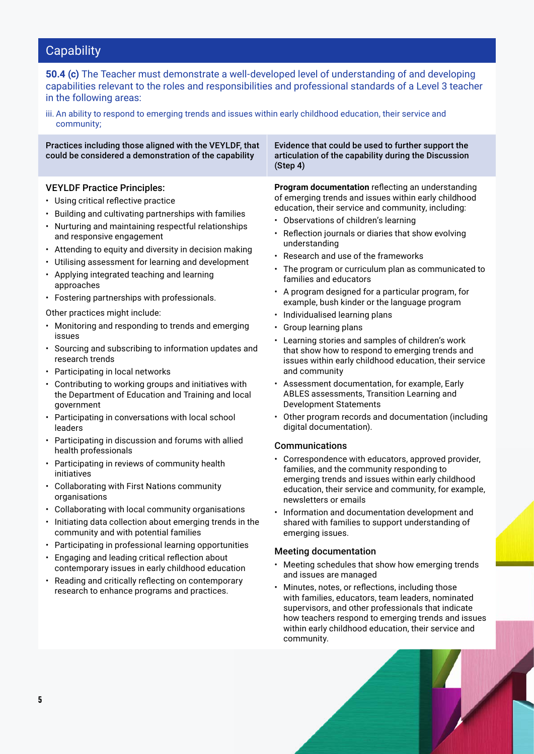**50.4 (c)** The Teacher must demonstrate a well-developed level of understanding of and developing capabilities relevant to the roles and responsibilities and professional standards of a Level 3 teacher in the following areas:

iii. An ability to respond to emerging trends and issues within early childhood education, their service and community;

Practices including those aligned with the VEYLDF, that could be considered a demonstration of the capability

#### VEYLDF Practice Principles:

- Using critical reflective practice
- Building and cultivating partnerships with families
- Nurturing and maintaining respectful relationships and responsive engagement
- Attending to equity and diversity in decision making
- Utilising assessment for learning and development
- Applying integrated teaching and learning approaches
- Fostering partnerships with professionals.
- Other practices might include:
- Monitoring and responding to trends and emerging issues
- Sourcing and subscribing to information updates and research trends
- Participating in local networks
- Contributing to working groups and initiatives with the Department of Education and Training and local government
- Participating in conversations with local school leaders
- Participating in discussion and forums with allied health professionals
- Participating in reviews of community health initiatives
- Collaborating with First Nations community organisations
- Collaborating with local community organisations
- Initiating data collection about emerging trends in the community and with potential families
- Participating in professional learning opportunities
- Engaging and leading critical reflection about contemporary issues in early childhood education
- Reading and critically reflecting on contemporary research to enhance programs and practices.

Evidence that could be used to further support the articulation of the capability during the Discussion (Step 4)

**Program documentation** reflecting an understanding of emerging trends and issues within early childhood education, their service and community, including:

- Observations of children's learning
- Reflection journals or diaries that show evolving understanding
- Research and use of the frameworks
- The program or curriculum plan as communicated to families and educators
- A program designed for a particular program, for example, bush kinder or the language program
- Individualised learning plans
- Group learning plans
- Learning stories and samples of children's work that show how to respond to emerging trends and issues within early childhood education, their service and community
- Assessment documentation, for example, Early ABLES assessments, Transition Learning and Development Statements
- Other program records and documentation (including digital documentation).

#### Communications

- Correspondence with educators, approved provider, families, and the community responding to emerging trends and issues within early childhood education, their service and community, for example, newsletters or emails
- Information and documentation development and shared with families to support understanding of emerging issues.

#### Meeting documentation

- Meeting schedules that show how emerging trends and issues are managed
- Minutes, notes, or reflections, including those with families, educators, team leaders, nominated supervisors, and other professionals that indicate how teachers respond to emerging trends and issues within early childhood education, their service and community.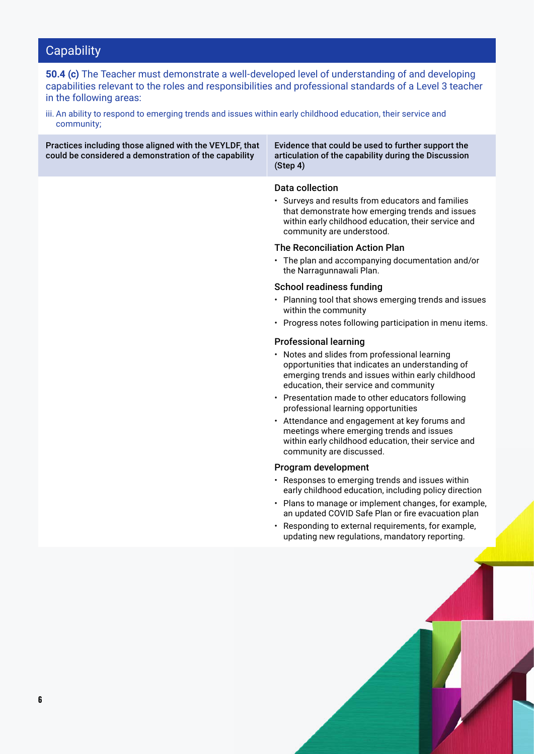**50.4 (c)** The Teacher must demonstrate a well-developed level of understanding of and developing capabilities relevant to the roles and responsibilities and professional standards of a Level 3 teacher in the following areas:

iii. An ability to respond to emerging trends and issues within early childhood education, their service and community;

| Practices including those aligned with the VEYLDF, that<br>could be considered a demonstration of the capability | Evidence that could be used to further support the<br>articulation of the capability during the Discussion<br>(Step 4)                                                                                                                                                                                                                                                                                                                                                                                                                                                                                                                                                                                                                                                                                                                                                                                                                                                                                                                                                                                                                                                                                                                                                                                                                                                                        |  |
|------------------------------------------------------------------------------------------------------------------|-----------------------------------------------------------------------------------------------------------------------------------------------------------------------------------------------------------------------------------------------------------------------------------------------------------------------------------------------------------------------------------------------------------------------------------------------------------------------------------------------------------------------------------------------------------------------------------------------------------------------------------------------------------------------------------------------------------------------------------------------------------------------------------------------------------------------------------------------------------------------------------------------------------------------------------------------------------------------------------------------------------------------------------------------------------------------------------------------------------------------------------------------------------------------------------------------------------------------------------------------------------------------------------------------------------------------------------------------------------------------------------------------|--|
|                                                                                                                  | Data collection<br>• Surveys and results from educators and families<br>that demonstrate how emerging trends and issues<br>within early childhood education, their service and<br>community are understood.<br><b>The Reconciliation Action Plan</b><br>• The plan and accompanying documentation and/or<br>the Narragunnawali Plan.<br><b>School readiness funding</b><br>• Planning tool that shows emerging trends and issues<br>within the community<br>• Progress notes following participation in menu items.<br><b>Professional learning</b><br>• Notes and slides from professional learning<br>opportunities that indicates an understanding of<br>emerging trends and issues within early childhood<br>education, their service and community<br>• Presentation made to other educators following<br>professional learning opportunities<br>• Attendance and engagement at key forums and<br>meetings where emerging trends and issues<br>within early childhood education, their service and<br>community are discussed.<br>Program development<br>• Responses to emerging trends and issues within<br>early childhood education, including policy direction<br>• Plans to manage or implement changes, for example,<br>an updated COVID Safe Plan or fire evacuation plan<br>• Responding to external requirements, for example,<br>updating new regulations, mandatory reporting |  |
|                                                                                                                  |                                                                                                                                                                                                                                                                                                                                                                                                                                                                                                                                                                                                                                                                                                                                                                                                                                                                                                                                                                                                                                                                                                                                                                                                                                                                                                                                                                                               |  |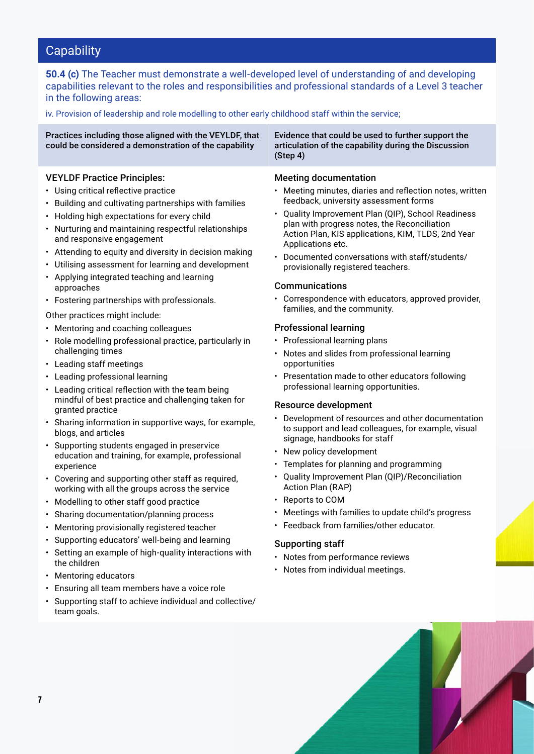**50.4 (c)** The Teacher must demonstrate a well-developed level of understanding of and developing capabilities relevant to the roles and responsibilities and professional standards of a Level 3 teacher in the following areas:

iv. Provision of leadership and role modelling to other early childhood staff within the service;

| Practices including those aligned with the VEYLDF, that<br>could be considered a demonstration of the capability                                                                                                                                                                                                                                                                                                                        | Evidence that could be used to further support the<br>articulation of the capability during the Discussion<br>(Step 4)                                                                                                                                                                                                                                                                                            |
|-----------------------------------------------------------------------------------------------------------------------------------------------------------------------------------------------------------------------------------------------------------------------------------------------------------------------------------------------------------------------------------------------------------------------------------------|-------------------------------------------------------------------------------------------------------------------------------------------------------------------------------------------------------------------------------------------------------------------------------------------------------------------------------------------------------------------------------------------------------------------|
| <b>VEYLDF Practice Principles:</b><br>• Using critical reflective practice<br>• Building and cultivating partnerships with families<br>• Holding high expectations for every child<br>• Nurturing and maintaining respectful relationships<br>and responsive engagement<br>• Attending to equity and diversity in decision making<br>• Utilising assessment for learning and development<br>• Applying integrated teaching and learning | <b>Meeting documentation</b><br>• Meeting minutes, diaries and reflection notes, writ<br>feedback, university assessment forms<br>• Quality Improvement Plan (QIP), School Readines<br>plan with progress notes, the Reconciliation<br>Action Plan, KIS applications, KIM, TLDS, 2nd Yea<br>Applications etc.<br>Documented conversations with staff/students/<br>$\bullet$<br>provisionally registered teachers. |
| approaches                                                                                                                                                                                                                                                                                                                                                                                                                              | Communications                                                                                                                                                                                                                                                                                                                                                                                                    |

• Fostering partnerships with professionals.

Other practices might include:

- Mentoring and coaching colleagues
- Role modelling professional practice, particularly in challenging times
- Leading staff meetings
- Leading professional learning
- Leading critical reflection with the team being mindful of best practice and challenging taken for granted practice
- Sharing information in supportive ways, for example, blogs, and articles
- Supporting students engaged in preservice education and training, for example, professional experience
- Covering and supporting other staff as required, working with all the groups across the service
- Modelling to other staff good practice
- Sharing documentation/planning process
- Mentoring provisionally registered teacher
- Supporting educators' well-being and learning
- Setting an example of high-quality interactions with the children
- Mentoring educators
- Ensuring all team members have a voice role
- Supporting staff to achieve individual and collective/ team goals.
- Meeting minutes, diaries and reflection notes, written
- Quality Improvement Plan (QIP), School Readiness Action Plan, KIS applications, KIM, TLDS, 2nd Year
- Correspondence with educators, approved provider, families, and the community.

#### Professional learning

- Professional learning plans
- Notes and slides from professional learning opportunities
- Presentation made to other educators following professional learning opportunities.

#### Resource development

- Development of resources and other documentation to support and lead colleagues, for example, visual signage, handbooks for staff
- New policy development
- Templates for planning and programming
- Quality Improvement Plan (QIP)/Reconciliation Action Plan (RAP)
- Reports to COM
- Meetings with families to update child's progress
- Feedback from families/other educator.

#### Supporting staff

- Notes from performance reviews
- Notes from individual meetings.

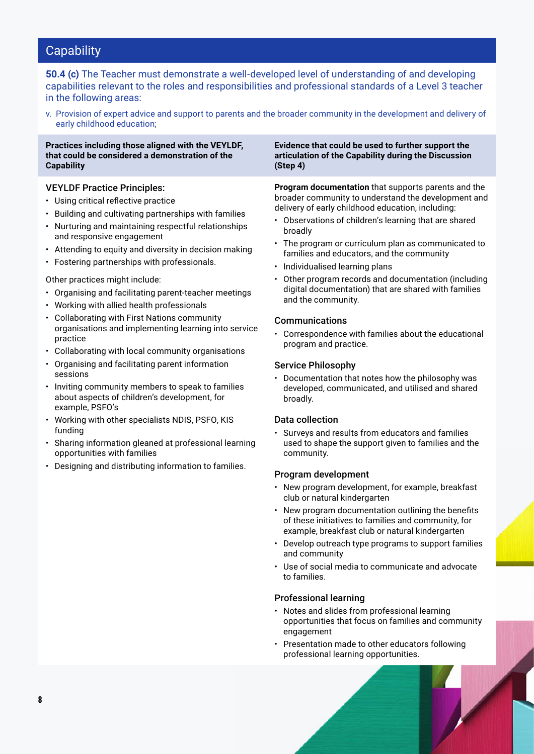**50.4 (c)** The Teacher must demonstrate a well-developed level of understanding of and developing capabilities relevant to the roles and responsibilities and professional standards of a Level 3 teacher in the following areas:

v. Provision of expert advice and support to parents and the broader community in the development and delivery of early childhood education;

#### **Practices including those aligned with the VEYLDF, that could be considered a demonstration of the Capability**

#### VEYLDF Practice Principles:

- Using critical reflective practice
- Building and cultivating partnerships with families
- Nurturing and maintaining respectful relationships and responsive engagement
- Attending to equity and diversity in decision making
- Fostering partnerships with professionals.

#### Other practices might include:

- Organising and facilitating parent-teacher meetings
- Working with allied health professionals
- Collaborating with First Nations community organisations and implementing learning into service practice
- Collaborating with local community organisations
- Organising and facilitating parent information sessions
- Inviting community members to speak to families about aspects of children's development, for example, PSFO's
- Working with other specialists NDIS, PSFO, KIS funding
- Sharing information gleaned at professional learning opportunities with families
- Designing and distributing information to families.

**Evidence that could be used to further support the articulation of the Capability during the Discussion (Step 4)**

**Program documentation** that supports parents and the broader community to understand the development and delivery of early childhood education, including:

- Observations of children's learning that are shared broadly
- The program or curriculum plan as communicated to families and educators, and the community
- Individualised learning plans
- Other program records and documentation (including digital documentation) that are shared with families and the community.

#### Communications

• Correspondence with families about the educational program and practice.

#### Service Philosophy

• Documentation that notes how the philosophy was developed, communicated, and utilised and shared broadly.

#### Data collection

• Surveys and results from educators and families used to shape the support given to families and the community.

#### Program development

- New program development, for example, breakfast club or natural kindergarten
- New program documentation outlining the benefits of these initiatives to families and community, for example, breakfast club or natural kindergarten
- Develop outreach type programs to support families and community
- Use of social media to communicate and advocate to families.

#### Professional learning

- Notes and slides from professional learning opportunities that focus on families and community engagement
- Presentation made to other educators following professional learning opportunities.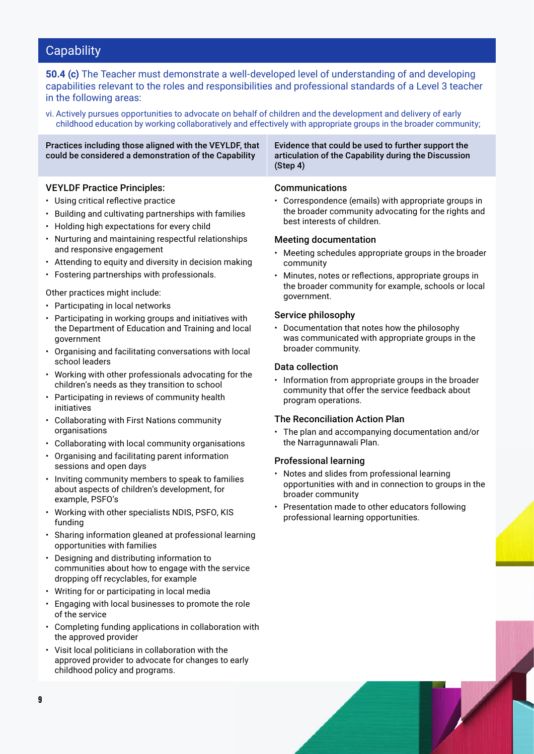**50.4 (c)** The Teacher must demonstrate a well-developed level of understanding of and developing capabilities relevant to the roles and responsibilities and professional standards of a Level 3 teacher in the following areas:

vi. Actively pursues opportunities to advocate on behalf of children and the development and delivery of early childhood education by working collaboratively and effectively with appropriate groups in the broader community;

#### Practices including those aligned with the VEYLDF, that could be considered a demonstration of the Capability

#### VEYLDF Practice Principles:

- Using critical reflective practice
- Building and cultivating partnerships with families
- Holding high expectations for every child
- Nurturing and maintaining respectful relationships and responsive engagement
- Attending to equity and diversity in decision making
- Fostering partnerships with professionals.

#### Other practices might include:

- Participating in local networks
- Participating in working groups and initiatives with the Department of Education and Training and local government
- Organising and facilitating conversations with local school leaders
- Working with other professionals advocating for the children's needs as they transition to school
- Participating in reviews of community health initiatives
- Collaborating with First Nations community organisations
- Collaborating with local community organisations
- Organising and facilitating parent information sessions and open days
- Inviting community members to speak to families about aspects of children's development, for example, PSFO's
- Working with other specialists NDIS, PSFO, KIS funding
- Sharing information gleaned at professional learning opportunities with families
- Designing and distributing information to communities about how to engage with the service dropping off recyclables, for example
- Writing for or participating in local media
- Engaging with local businesses to promote the role of the service
- Completing funding applications in collaboration with the approved provider
- Visit local politicians in collaboration with the approved provider to advocate for changes to early childhood policy and programs.

Evidence that could be used to further support the articulation of the Capability during the Discussion (Step 4)

#### Communications

• Correspondence (emails) with appropriate groups in the broader community advocating for the rights and best interests of children.

#### Meeting documentation

- Meeting schedules appropriate groups in the broader community
- Minutes, notes or reflections, appropriate groups in the broader community for example, schools or local government.

#### Service philosophy

• Documentation that notes how the philosophy was communicated with appropriate groups in the broader community.

#### Data collection

• Information from appropriate groups in the broader community that offer the service feedback about program operations.

#### The Reconciliation Action Plan

• The plan and accompanying documentation and/or the Narragunnawali Plan.

#### Professional learning

- Notes and slides from professional learning opportunities with and in connection to groups in the broader community
- Presentation made to other educators following professional learning opportunities.